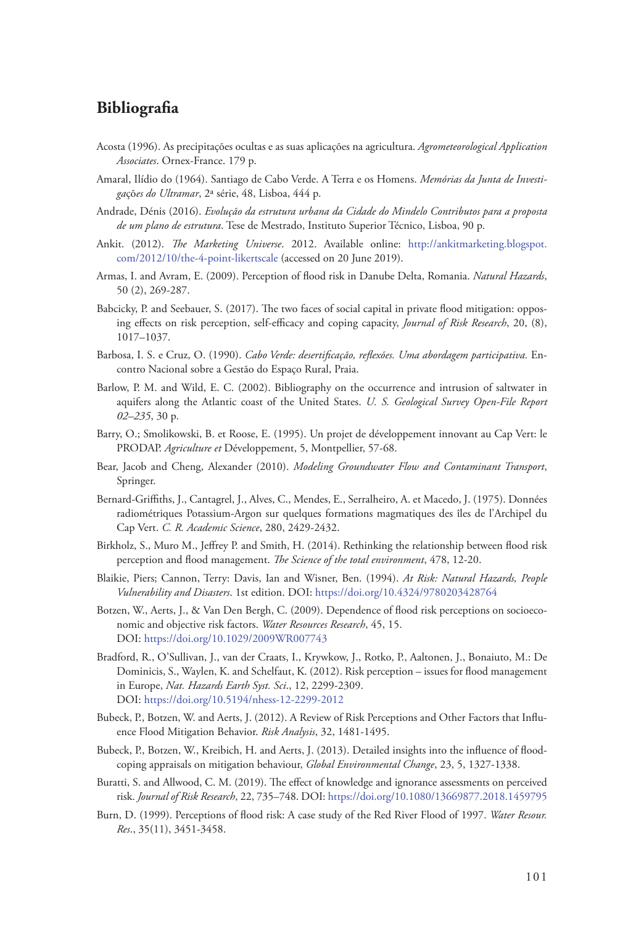## **Bibliografia**

- Acosta (1996). As precipitações ocultas e as suas aplicações na agricultura. *Agrometeorological Application Associates*. Ornex-France. 179 p.
- Amaral, Ilídio do (1964). Santiago de Cabo Verde. A Terra e os Homens. *Memórias da Junta de Investiga*çõ*es do Ultramar*, 2ª série, 48, Lisboa, 444 p.
- Andrade, Dénis (2016). *Evolução da estrutura urbana da Cidade do Mindelo Contributos para a proposta de um plano de estrutura*. Tese de Mestrado, Instituto Superior Técnico, Lisboa, 90 p.
- Ankit. (2012). *The Marketing Universe*. 2012. Available online: [http://ankitmarketing.blogspot.](http://ankitmarketing.blogspot.com/2012/10/the-4-point-likertscale) [com/2012/10/the-4-point-likertscale](http://ankitmarketing.blogspot.com/2012/10/the-4-point-likertscale) (accessed on 20 June 2019).
- Armas, I. and Avram, E. (2009). Perception of flood risk in Danube Delta, Romania. *Natural Hazards*, 50 (2), 269-287.
- Babcicky, P. and Seebauer, S. (2017). The two faces of social capital in private flood mitigation: opposing effects on risk perception, self‐efficacy and coping capacity, *Journal of Risk Research*, 20, (8), 1017–1037.
- Barbosa, I. S. e Cruz, O. (1990). *Cabo Verde: desertificação, reflexões. Uma abordagem participativa.* Encontro Nacional sobre a Gestão do Espaço Rural, Praia.
- Barlow, P. M. and Wild, E. C. (2002). Bibliography on the occurrence and intrusion of saltwater in aquifers along the Atlantic coast of the United States. *U. S. Geological Survey Open-File Report 02–235*, 30 p.
- Barry, O.; Smolikowski, B. et Roose, E. (1995). Un projet de développement innovant au Cap Vert: le PRODAP. *Agriculture et* Développement, 5, Montpellier, 57-68.
- Bear, Jacob and Cheng, Alexander (2010). *Modeling Groundwater Flow and Contaminant Transport*, Springer.
- Bernard-Griffiths, J., Cantagrel, J., Alves, C., Mendes, E., Serralheiro, A. et Macedo, J. (1975). Données radiométriques Potassium-Argon sur quelques formations magmatiques des îles de l'Archipel du Cap Vert. *C. R. Academic Science*, 280, 2429-2432.
- Birkholz, S., Muro M., Jeffrey P. and Smith, H. (2014). Rethinking the relationship between flood risk perception and flood management. *The Science of the total environment*, 478, 12-20.
- Blaikie, Piers; Cannon, Terry: Davis, Ian and Wisner, Ben. (1994). *At Risk: Natural Hazards, People Vulnerability and Disasters*. 1st edition. DOI: https://doi.org/10.4324/9780203428764
- Botzen, W., Aerts, J., & Van Den Bergh, C. (2009). Dependence of flood risk perceptions on socioeconomic and objective risk factors. *Water Resources Research*, 45, 15. DOI: https://doi.org/10.1029/2009WR007743
- Bradford, R., O'Sullivan, J., van der Craats, I., Krywkow, J., Rotko, P., Aaltonen, J., Bonaiuto, M.: De Dominicis, S., Waylen, K. and Schelfaut, K. (2012). Risk perception – issues for flood management in Europe, *Nat. Hazards Earth Syst. Sci*., 12, 2299-2309. DOI: https://doi.org/10.5194/nhess-12-2299-2012
- Bubeck, P., Botzen, W. and Aerts, J. (2012). A Review of Risk Perceptions and Other Factors that Influence Flood Mitigation Behavior. *Risk Analysis*, 32, 1481-1495.
- Bubeck, P., Botzen, W., Kreibich, H. and Aerts, J. (2013). Detailed insights into the influence of floodcoping appraisals on mitigation behaviour, *Global Environmental Change*, 23, 5, 1327-1338.
- Buratti, S. and Allwood, C. M. (2019). The effect of knowledge and ignorance assessments on perceived risk. *Journal of Risk Research*, 22, 735–748. DOI:<https://doi.org/10.1080/13669877.2018.1459795>
- Burn, D. (1999). Perceptions of flood risk: A case study of the Red River Flood of 1997. *Water Resour. Res*., 35(11), 3451-3458.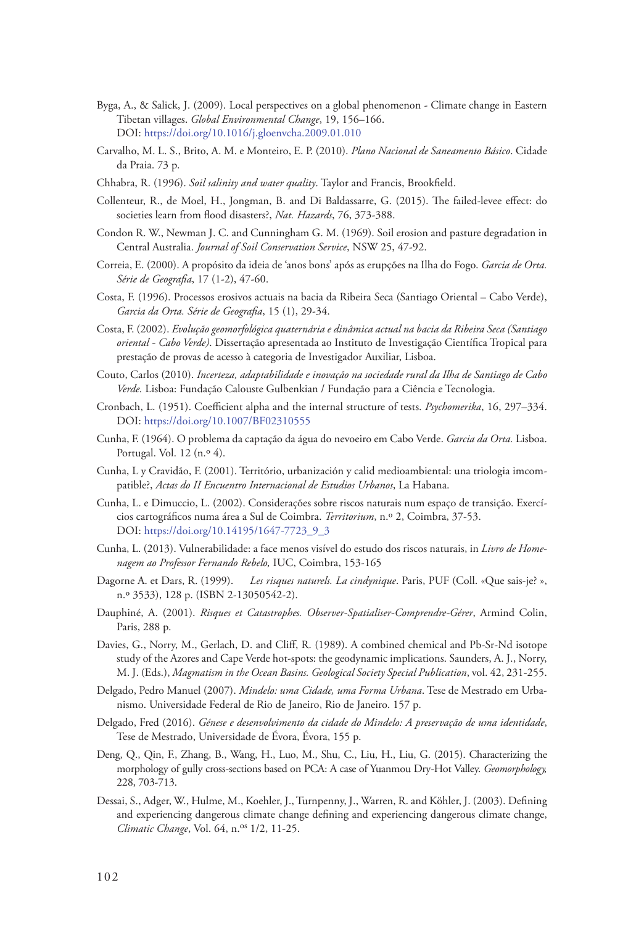- Byga, A., & Salick, J. (2009). Local perspectives on a global phenomenon ‐ Climate change in Eastern Tibetan villages. *Global Environmental Change*, 19, 156–166. DOI: https://doi.org/10.1016/j.gloenvcha.2009.01.010
- Carvalho, M. L. S., Brito, A. M. e Monteiro, E. P. (2010). *Plano Nacional de Saneamento Básico*. Cidade da Praia. 73 p.
- Chhabra, R. (1996). *Soil salinity and water quality*. Taylor and Francis, Brookfield.
- Collenteur, R., de Moel, H., Jongman, B. and Di Baldassarre, G. (2015). The failed-levee effect: do societies learn from flood disasters?, *Nat. Hazards*, 76, 373-388.
- Condon R. W., Newman J. C. and Cunningham G. M. (1969). Soil erosion and pasture degradation in Central Australia. *Journal of Soil Conservation Service*, NSW 25, 47-92.
- Correia, E. (2000). A propósito da ideia de 'anos bons' após as erupções na Ilha do Fogo. *Garcia de Orta. Série de Geografia*, 17 (1-2), 47-60.
- Costa, F. (1996). Processos erosivos actuais na bacia da Ribeira Seca (Santiago Oriental Cabo Verde), *Garcia da Orta. Série de Geografia*, 15 (1), 29-34.
- Costa, F. (2002). *Evolução geomorfológica quaternária e dinâmica actual na bacia da Ribeira Seca (Santiago oriental - Cabo Verde)*. Dissertação apresentada ao Instituto de Investigação Científica Tropical para prestação de provas de acesso à categoria de Investigador Auxiliar, Lisboa.
- Couto, Carlos (2010). *Incerteza, adaptabilidade e inovação na sociedade rural da Ilha de Santiago de Cabo Verde.* Lisboa: Fundação Calouste Gulbenkian / Fundação para a Ciência e Tecnologia.
- Cronbach, L. (1951). Coefficient alpha and the internal structure of tests. *Psychomerika*, 16, 297–334. DOI: https://doi.org/10.1007/BF02310555
- Cunha, F. (1964). O problema da captação da água do nevoeiro em Cabo Verde. *Garcia da Orta.* Lisboa. Portugal. Vol. 12 (n.º 4).
- Cunha, L y Cravidão, F. (2001). Território, urbanización y calid medioambiental: una triologia imcompatible?, *Actas do II Encuentro Internacional de Estudios Urbanos*, La Habana.
- Cunha, L. e Dimuccio, L. (2002). Considerações sobre riscos naturais num espaço de transição. Exercícios cartográficos numa área a Sul de Coimbra. *Territorium*, n.º 2, Coimbra, 37-53. DOI: https://doi.org/10.14195/1647-7723\_9\_3
- Cunha, L. (2013). Vulnerabilidade: a face menos visível do estudo dos riscos naturais, in *Livro de Homenagem ao Professor Fernando Rebelo,* IUC, Coimbra, 153-165
- Dagorne A. et Dars, R. (1999). *Les risques naturels. La cindynique*. Paris, PUF (Coll. «Que sais-je? », n.º 3533), 128 p. (ISBN 2-13050542-2).
- Dauphiné, A. (2001). *Risques et Catastrophes. Observer-Spatialiser-Comprendre-Gérer*, Armind Colin, Paris, 288 p.
- Davies, G., Norry, M., Gerlach, D. and Cliff, R. (1989). A combined chemical and Pb-Sr-Nd isotope study of the Azores and Cape Verde hot-spots: the geodynamic implications. Saunders, A. J., Norry, M. J. (Eds.), *Magmatism in the Ocean Basins. Geological Society Special Publication*, vol. 42, 231-255.
- Delgado, Pedro Manuel (2007). *Mindelo: uma Cidade, uma Forma Urbana*. Tese de Mestrado em Urbanismo. Universidade Federal de Rio de Janeiro, Rio de Janeiro. 157 p.
- Delgado, Fred (2016). *Génese e desenvolvimento da cidade do Mindelo: A preservação de uma identidade*, Tese de Mestrado, Universidade de Évora, Évora, 155 p.
- Deng, Q., Qin, F., Zhang, B., Wang, H., Luo, M., Shu, C., Liu, H., Liu, G. (2015). Characterizing the morphology of gully cross-sections based on PCA: A case of Yuanmou Dry-Hot Valley. *Geomorphology,* 228, 703-713.
- Dessai, S., Adger, W., Hulme, M., Koehler, J., Turnpenny, J., Warren, R. and Köhler, J. (2003). Defining and experiencing dangerous climate change defining and experiencing dangerous climate change, *Climatic Change*, Vol. 64, n.<sup>os</sup> 1/2, 11-25.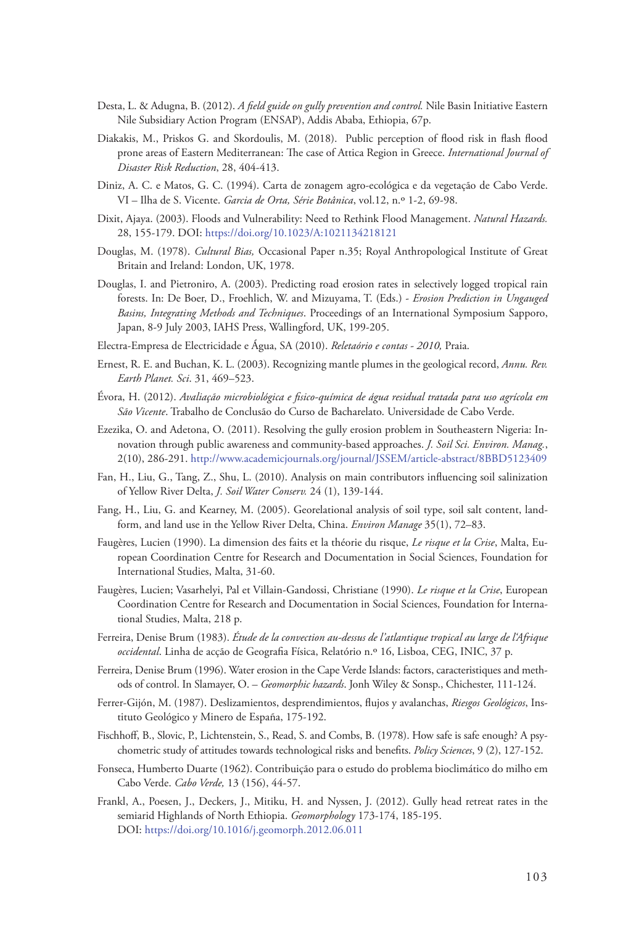- Desta, L. & Adugna, B. (2012). *A field guide on gully prevention and control.* Nile Basin Initiative Eastern Nile Subsidiary Action Program (ENSAP), Addis Ababa, Ethiopia, 67p.
- Diakakis, M., Priskos G. and Skordoulis, M. (2018). Public perception of flood risk in flash flood prone areas of Eastern Mediterranean: The case of Attica Region in Greece. *International Journal of Disaster Risk Reduction*, 28, 404-413.
- Diniz, A. C. e Matos, G. C. (1994). Carta de zonagem agro-ecológica e da vegetação de Cabo Verde. VI – Ilha de S. Vicente. *Garcia de Orta, Série Botânica*, vol.12, n.º 1-2, 69-98.
- Dixit, Ajaya. (2003). Floods and Vulnerability: Need to Rethink Flood Management. *Natural Hazards.* 28, 155-179. DOI: https://doi.org/10.1023/A:1021134218121
- Douglas, M. (1978). *Cultural Bias,* Occasional Paper n.35; Royal Anthropological Institute of Great Britain and Ireland: London, UK, 1978.
- Douglas, I. and Pietroniro, A. (2003). Predicting road erosion rates in selectively logged tropical rain forests. In: De Boer, D., Froehlich, W. and Mizuyama, T. (Eds.) - *Erosion Prediction in Ungauged Basins, Integrating Methods and Techniques*. Proceedings of an International Symposium Sapporo, Japan, 8-9 July 2003, IAHS Press, Wallingford, UK, 199-205.
- Electra-Empresa de Electricidade e Água, SA (2010). *Reletaório e contas 2010,* Praia.
- Ernest, R. E. and Buchan, K. L. (2003). Recognizing mantle plumes in the geological record, *Annu. Rev. Earth Planet. Sci*. 31, 469–523.
- Évora, H. (2012). *Avaliação microbiológica e fisico-química de água residual tratada para uso agrícola em São Vicente*. Trabalho de Conclusão do Curso de Bacharelato. Universidade de Cabo Verde.
- Ezezika, O. and Adetona, O. (2011). Resolving the gully erosion problem in Southeastern Nigeria: Innovation through public awareness and community-based approaches. *J. Soil Sci. Environ. Manag.*, 2(10), 286-291.<http://www.academicjournals.org/journal/JSSEM/article-abstract/8BBD5123409>
- Fan, H., Liu, G., Tang, Z., Shu, L. (2010). Analysis on main contributors influencing soil salinization of Yellow River Delta, *J. Soil Water Conserv.* 24 (1), 139-144.
- Fang, H., Liu, G. and Kearney, M. (2005). Georelational analysis of soil type, soil salt content, landform, and land use in the Yellow River Delta, China. *Environ Manage* 35(1), 72–83.
- Faugères, Lucien (1990). La dimension des faits et la théorie du risque, *Le risque et la Crise*, Malta, European Coordination Centre for Research and Documentation in Social Sciences, Foundation for International Studies, Malta, 31-60.
- Faugères, Lucien; Vasarhelyi, Pal et Villain-Gandossi, Christiane (1990). *Le risque et la Crise*, European Coordination Centre for Research and Documentation in Social Sciences, Foundation for International Studies, Malta, 218 p.
- Ferreira, Denise Brum (1983). *Étude de la convection au-dessus de l'atlantique tropical au large de l'Afrique occidental*. Linha de acção de Geografia Física, Relatório n.º 16, Lisboa, CEG, INIC, 37 p.
- Ferreira, Denise Brum (1996). Water erosion in the Cape Verde Islands: factors, caracteristiques and methods of control. In Slamayer, O. – *Geomorphic hazards*. Jonh Wiley & Sonsp., Chichester, 111-124.
- Ferrer-Gijón, M. (1987). Deslizamientos, desprendimientos, flujos y avalanchas, *Riesgos Geológicos*, Instituto Geológico y Minero de España, 175-192.
- Fischhoff, B., Slovic, P., Lichtenstein, S., Read, S. and Combs, B. (1978). How safe is safe enough? A psychometric study of attitudes towards technological risks and benefits. *Policy Sciences*, 9 (2), 127-152.
- Fonseca, Humberto Duarte (1962). Contribuição para o estudo do problema bioclimático do milho em Cabo Verde. *Cabo Verde,* 13 (156), 44-57.
- Frankl, A., Poesen, J., Deckers, J., Mitiku, H. and Nyssen, J. (2012). Gully head retreat rates in the semiarid Highlands of North Ethiopia. *Geomorphology* 173-174, 185-195. DOI: https://doi.org/10.1016/j.geomorph.2012.06.011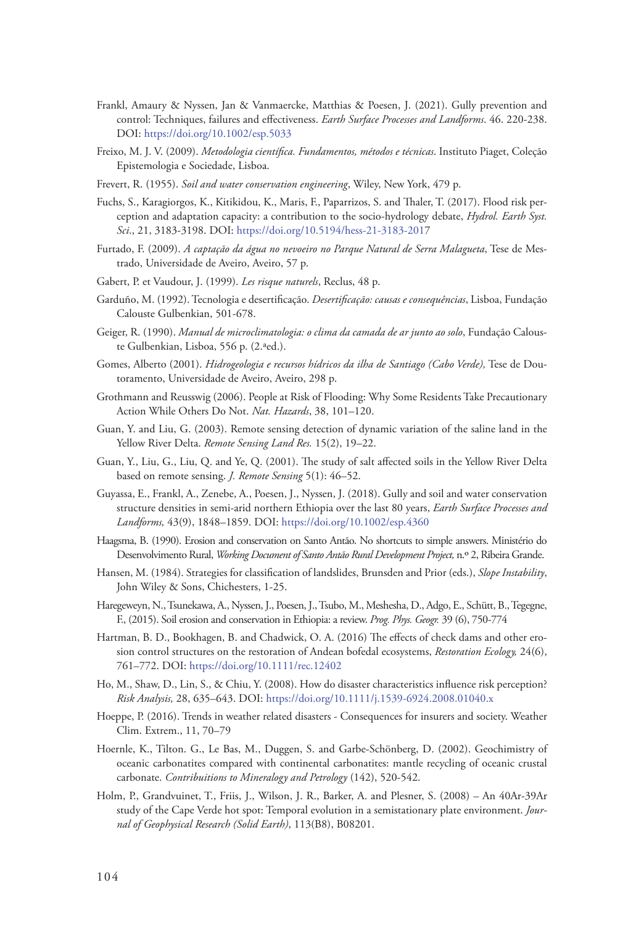- Frankl, Amaury & Nyssen, Jan & Vanmaercke, Matthias & Poesen, J. (2021). Gully prevention and control: Techniques, failures and effectiveness. *Earth Surface Processes and Landforms*. 46. 220-238. DOI: https://doi.org/10.1002/esp.5033
- Freixo, M. J. V. (2009). *Metodologia científica. Fundamentos, métodos e técnicas*. Instituto Piaget, Coleção Epistemologia e Sociedade, Lisboa.
- Frevert, R. (1955). *Soil and water conservation engineering*, Wiley, New York, 479 p.
- Fuchs, S., Karagiorgos, K., Kitikidou, K., Maris, F., Paparrizos, S. and Thaler, T. (2017). Flood risk perception and adaptation capacity: a contribution to the socio-hydrology debate, *Hydrol. Earth Syst. Sci*., 21, 3183-3198. DOI: <https://doi.org/10.5194/hess-21-3183-2017>
- Furtado, F. (2009). *A captação da água no nevoeiro no Parque Natural de Serra Malagueta*, Tese de Mestrado, Universidade de Aveiro, Aveiro, 57 p.
- Gabert, P. et Vaudour, J. (1999). *Les risque naturels*, Reclus, 48 p.
- Garduño, M. (1992). Tecnologia e desertificação. *Desertificação: causas e consequências*, Lisboa, Fundação Calouste Gulbenkian, 501-678.
- Geiger, R. (1990). *Manual de microclimatologia: o clima da camada de ar junto ao solo*, Fundação Calouste Gulbenkian, Lisboa, 556 p. (2.ªed.).
- Gomes, Alberto (2001). *Hidrogeologia e recursos hídricos da ilha de Santiago (Cabo Verde),* Tese de Doutoramento, Universidade de Aveiro, Aveiro, 298 p.
- Grothmann and Reusswig (2006). People at Risk of Flooding: Why Some Residents Take Precautionary Action While Others Do Not. *Nat. Hazards*, 38, 101–120.
- Guan, Y. and Liu, G. (2003). Remote sensing detection of dynamic variation of the saline land in the Yellow River Delta. *Remote Sensing Land Res.* 15(2), 19–22.
- Guan, Y., Liu, G., Liu, Q. and Ye, Q. (2001). The study of salt affected soils in the Yellow River Delta based on remote sensing. *J. Remote Sensing* 5(1): 46–52.
- Guyassa, E., Frankl, A., Zenebe, A., Poesen, J., Nyssen, J. (2018). Gully and soil and water conservation structure densities in semi-arid northern Ethiopia over the last 80 years, *Earth Surface Processes and Landforms,* 43(9), 1848–1859. DOI: https://doi.org/10.1002/esp.4360
- Haagsma, B. (1990). Erosion and conservation on Santo Antão. No shortcuts to simple answers. Ministério do Desenvolvimento Rural, *Working Document of Santo Antão Rural Development Project,* n.º 2, Ribeira Grande.
- Hansen, M. (1984). Strategies for classification of landslides, Brunsden and Prior (eds.), *Slope Instability*, John Wiley & Sons, Chichesters, 1-25.
- Haregeweyn, N., Tsunekawa, A., Nyssen, J., Poesen, J., Tsubo, M., Meshesha, D., Adgo, E., Schütt, B., Tegegne, F., (2015). Soil erosion and conservation in Ethiopia: a review. *Prog. Phys. Geogr.* 39 (6), 750-774
- Hartman, B. D., Bookhagen, B. and Chadwick, O. A. (2016) The effects of check dams and other erosion control structures on the restoration of Andean bofedal ecosystems, *Restoration Ecology,* 24(6), 761–772. DOI: https://doi.org/10.1111/rec.12402
- Ho, M., Shaw, D., Lin, S., & Chiu, Y. (2008). How do disaster characteristics influence risk perception? *Risk Analysis,* 28, 635–643. DOI: https://doi.org/10.1111/j.1539‐6924.2008.01040.x
- Hoeppe, P. (2016). Trends in weather related disasters Consequences for insurers and society. Weather Clim. Extrem., 11, 70–79
- Hoernle, K., Tilton. G., Le Bas, M., Duggen, S. and Garbe-Schönberg, D. (2002). Geochimistry of oceanic carbonatites compared with continental carbonatites: mantle recycling of oceanic crustal carbonate. *Contribuitions to Mineralogy and Petrology* (142), 520-542.
- Holm, P., Grandvuinet, T., Friis, J., Wilson, J. R., Barker, A. and Plesner, S. (2008) An 40Ar-39Ar study of the Cape Verde hot spot: Temporal evolution in a semistationary plate environment. *Journal of Geophysical Research (Solid Earth)*, 113(B8), B08201.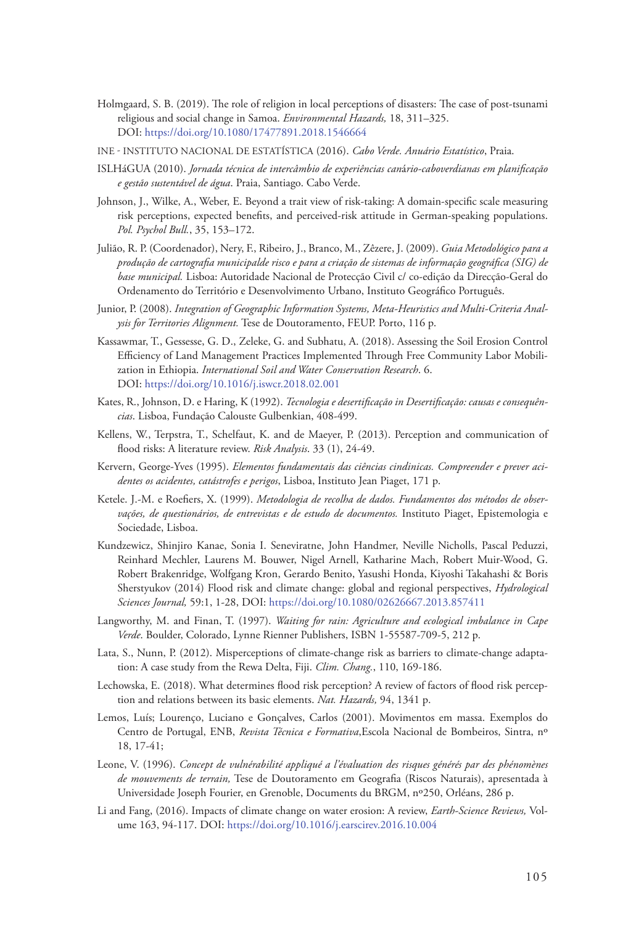- Holmgaard, S. B. (2019). The role of religion in local perceptions of disasters: The case of post‐tsunami religious and social change in Samoa. *Environmental Hazards,* 18, 311–325. DOI: https://doi.org/10.1080/17477891.2018.1546664
- INE Instituto Nacional de Estatística (2016). *Cabo Verde. Anuário Estatístico*, Praia.
- ISLHáGUA (2010). *Jornada técnica de intercâmbio de experiências can*á*rio-caboverdianas em planificação e gestão sustentável de água*. Praia, Santiago. Cabo Verde.
- Johnson, J., Wilke, A., Weber, E. Beyond a trait view of risk-taking: A domain-specific scale measuring risk perceptions, expected benefits, and perceived-risk attitude in German-speaking populations. *Pol. Psychol Bull.*, 35, 153–172.
- Julião, R. P. (Coordenador), Nery, F., Ribeiro, J., Branco, M., Zêzere, J. (2009). *Guia Metodológico para a produção de cartografia municipalde risco e para a criação de sistemas de informação geográfica (SIG) de base municipal.* Lisboa: Autoridade Nacional de Protecção Civil c/ co-edição da Direcção-Geral do Ordenamento do Território e Desenvolvimento Urbano, Instituto Geográfico Português.
- Junior, P. (2008). *Integration of Geographic Information Systems, Meta-Heuristics and Multi-Criteria Analysis for Territories Alignment.* Tese de Doutoramento, FEUP. Porto, 116 p.
- Kassawmar, T., Gessesse, G. D., Zeleke, G. and Subhatu, A. (2018). Assessing the Soil Erosion Control Efficiency of Land Management Practices Implemented Through Free Community Labor Mobilization in Ethiopia. *International Soil and Water Conservation Research*. 6. DOI: https://doi.org/10.1016/j.iswcr.2018.02.001
- Kates, R., Johnson, D. e Haring, K (1992). *Tecnologia e desertificação in Desertificação: causas e consequências*. Lisboa, Fundação Calouste Gulbenkian, 408-499.
- Kellens, W., Terpstra, T., Schelfaut, K. and de Maeyer, P. (2013). Perception and communication of flood risks: A literature review. *Risk Analysis*. 33 (1), 24-49.
- Kervern, George-Yves (1995). *Elementos fundamentais das ciências cindinicas. Compreender e prever acidentes os acidentes, catástrofes e perigos*, Lisboa, Instituto Jean Piaget, 171 p.
- Ketele. J.-M. e Roefiers, X. (1999). *Metodologia de recolha de dados. Fundamentos dos métodos de observações, de questionários, de entrevistas e de estudo de documentos.* Instituto Piaget, Epistemologia e Sociedade, Lisboa.
- Kundzewicz, Shinjiro Kanae, Sonia I. Seneviratne, John Handmer, Neville Nicholls, Pascal Peduzzi, Reinhard Mechler, Laurens M. Bouwer, Nigel Arnell, Katharine Mach, Robert Muir-Wood, G. Robert Brakenridge, Wolfgang Kron, Gerardo Benito, Yasushi Honda, Kiyoshi Takahashi & Boris Sherstyukov (2014) Flood risk and climate change: global and regional perspectives, *Hydrological Sciences Journal,* 59:1, 1-28, DOI: https://doi.org/10.1080/02626667.2013.857411
- Langworthy, M. and Finan, T. (1997). *Waiting for rain: Agriculture and ecological imbalance in Cape Verde*. Boulder, Colorado, Lynne Rienner Publishers, ISBN 1-55587-709-5, 212 p.
- Lata, S., Nunn, P. (2012). Misperceptions of climate-change risk as barriers to climate-change adaptation: A case study from the Rewa Delta, Fiji. *Clim. Chang.*, 110, 169-186.
- Lechowska, E. (2018). What determines flood risk perception? A review of factors of flood risk perception and relations between its basic elements. *Nat. Hazards,* 94, 1341 p.
- Lemos, Luís; Lourenço, Luciano e Gonçalves, Carlos (2001). Movimentos em massa. Exemplos do Centro de Portugal, ENB, *Revista Técnica e Formativa*,Escola Nacional de Bombeiros, Sintra, nº 18, 17-41;
- Leone, V. (1996). *Concept de vulnérabilité appliqué a l'évaluation des risques générés par des phénomènes de mouvements de terrain,* Tese de Doutoramento em Geografia (Riscos Naturais), apresentada à Universidade Joseph Fourier, en Grenoble, Documents du BRGM, nº250, Orléans, 286 p.
- Li and Fang, (2016). Impacts of climate change on water erosion: A review, *Earth-Science Reviews,* Volume 163, 94-117. DOI: https://doi.org/10.1016/j.earscirev.2016.10.004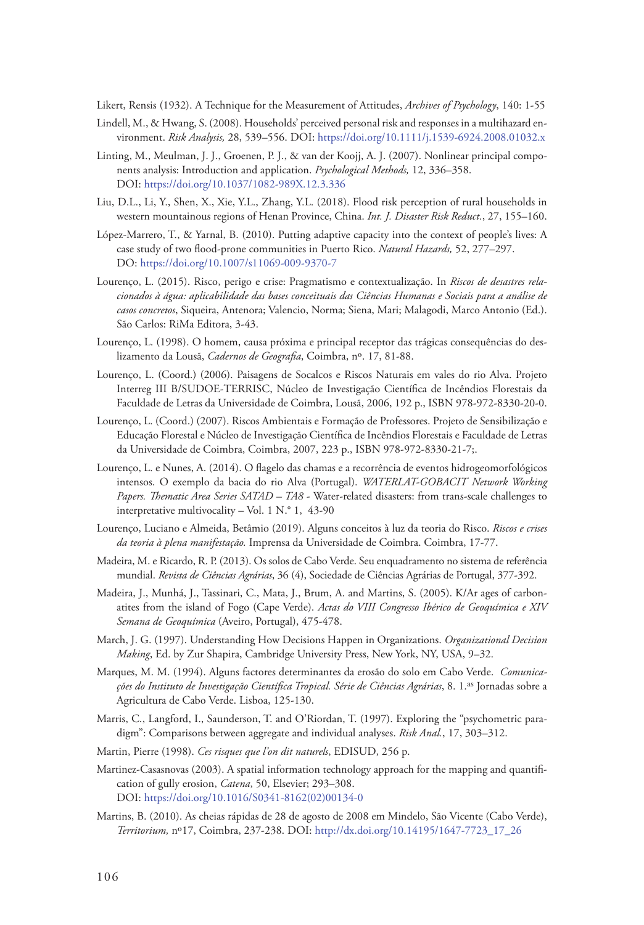Likert, Rensis (1932). A Technique for the Measurement of Attitudes, *Archives of Psychology*, 140: 1-55

- Lindell, M., & Hwang, S. (2008). Households' perceived personal risk and responses in a multihazard environment. *Risk Analysis,* 28, 539–556. DOI: https://doi.org/10.1111/j.1539‐6924.2008.01032.x
- Linting, M., Meulman, J. J., Groenen, P. J., & van der Koojj, A. J. (2007). Nonlinear principal components analysis: Introduction and application. *Psychological Methods,* 12, 336–358. DOI: https://doi.org/10.1037/1082‐989X.12.3.336
- Liu, D.L., Li, Y., Shen, X., Xie, Y.L., Zhang, Y.L. (2018). Flood risk perception of rural households in western mountainous regions of Henan Province, China. *Int. J. Disaster Risk Reduct.*, 27, 155–160.
- López‐Marrero, T., & Yarnal, B. (2010). Putting adaptive capacity into the context of people's lives: A case study of two flood‐prone communities in Puerto Rico. *Natural Hazards,* 52, 277–297. DO: https://doi.org/10.1007/s11069‐009‐9370‐7
- Lourenço, L. (2015). Risco, perigo e crise: Pragmatismo e contextualização. In *Riscos de desastres relacionados à água: aplicabilidade das bases conceituais das Ciências Humanas e Sociais para a análise de casos concretos*, Siqueira, Antenora; Valencio, Norma; Siena, Mari; Malagodi, Marco Antonio (Ed.). São Carlos: RiMa Editora, 3-43.
- Lourenço, L. (1998). O homem, causa próxima e principal receptor das trágicas consequências do deslizamento da Lousã, *Cadernos de Geografia*, Coimbra, nº. 17, 81-88.
- Lourenço, L. (Coord.) (2006). Paisagens de Socalcos e Riscos Naturais em vales do rio Alva. Projeto Interreg III B/SUDOE-TERRISC, Núcleo de Investigação Científica de Incêndios Florestais da Faculdade de Letras da Universidade de Coimbra, Lousã, 2006, 192 p., ISBN 978-972-8330-20-0.
- Lourenço, L. (Coord.) (2007). Riscos Ambientais e Formação de Professores. Projeto de Sensibilização e Educação Florestal e Núcleo de Investigação Científica de Incêndios Florestais e Faculdade de Letras da Universidade de Coimbra, Coimbra, 2007, 223 p., ISBN 978-972-8330-21-7;.
- Lourenço, L. e Nunes, A. (2014). O flagelo das chamas e a recorrência de eventos hidrogeomorfológicos intensos. O exemplo da bacia do rio Alva (Portugal). *WATERLAT-GOBACIT Network Working Papers. Thematic Area Series SATAD – TA8* - Water-related disasters: from trans-scale challenges to interpretative multivocality – Vol. 1 N.° 1, 43-90
- Lourenço, Luciano e Almeida, Betâmio (2019). Alguns conceitos à luz da teoria do Risco. *Riscos e crises da teoria à plena manifestação.* Imprensa da Universidade de Coimbra. Coimbra, 17-77.
- Madeira, M. e Ricardo, R. P. (2013). Os solos de Cabo Verde. Seu enquadramento no sistema de referência mundial. *Revista de Ciências Agrárias*, 36 (4), Sociedade de Ciências Agrárias de Portugal, 377-392.
- Madeira, J., Munhá, J., Tassinari, C., Mata, J., Brum, A. and Martins, S. (2005). K/Ar ages of carbonatites from the island of Fogo (Cape Verde). *Actas do VIII Congresso Ibérico de Geoquímica e XIV Semana de Geoquímica* (Aveiro, Portugal), 475-478.
- March, J. G. (1997). Understanding How Decisions Happen in Organizations. *Organizational Decision Making*, Ed. by Zur Shapira, Cambridge University Press, New York, NY, USA, 9–32.
- Marques, M. M. (1994). Alguns factores determinantes da erosão do solo em Cabo Verde. *Comunicações do Instituto de Investigação Científica Tropical. Série de Ciências Agrárias*, 8. 1.as Jornadas sobre a Agricultura de Cabo Verde. Lisboa, 125-130.
- Marris, C., Langford, I., Saunderson, T. and O'Riordan, T. (1997). Exploring the "psychometric paradigm": Comparisons between aggregate and individual analyses. *Risk Anal.*, 17, 303–312.
- Martin, Pierre (1998). *Ces risques que l'on dit naturels*, EDISUD, 256 p.
- Martinez-Casasnovas (2003). A spatial information technology approach for the mapping and quantification of gully erosion, *Catena*, 50, Elsevier; 293–308. DOI: https://doi.org/10.1016/S0341-8162(02)00134-0
- Martins, B. (2010). As cheias rápidas de 28 de agosto de 2008 em Mindelo, São Vicente (Cabo Verde), *Territorium,* nº17, Coimbra, 237-238. DOI: http://dx.doi.org/10.14195/1647-7723\_17\_26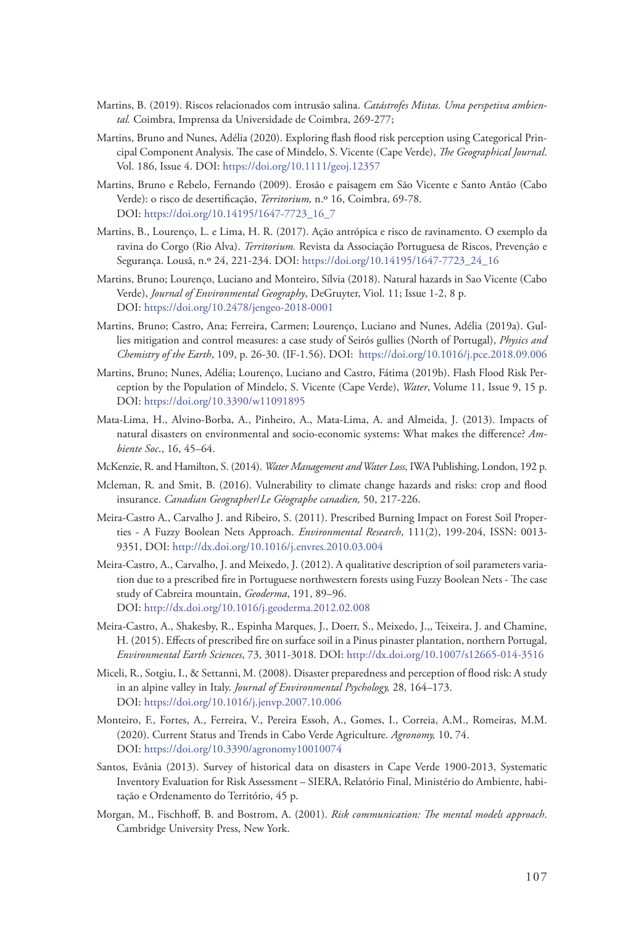- Martins, B. (2019). Riscos relacionados com intrusão salina. *Catástrofes Mistas. Uma perspetiva ambiental.* Coimbra, Imprensa da Universidade de Coimbra, 269-277;
- Martins, Bruno and Nunes, Adélia (2020). Exploring flash flood risk perception using Categorical Principal Component Analysis. The case of Mindelo, S. Vicente (Cape Verde), *The Geographical Journal*. Vol. 186, Issue 4. DOI: <https://doi.org/10.1111/geoj.12357>
- Martins, Bruno e Rebelo, Fernando (2009). Erosão e paisagem em São Vicente e Santo Antão (Cabo Verde): o risco de desertificação, *Territorium,* n.º 16, Coimbra, 69-78. DOI: https://doi.org/10.14195/1647-7723\_16\_7
- Martins, B., Lourenço, L. e Lima, H. R. (2017). Ação antrópica e risco de ravinamento. O exemplo da ravina do Corgo (Rio Alva). *Territorium.* Revista da Associação Portuguesa de Riscos, Prevenção e Segurança. Lousã, n.º 24, 221-234. DOI: https://doi.org/10.14195/1647-7723\_24\_16
- Martins, Bruno; Lourenço, Luciano and Monteiro, Sílvia (2018). Natural hazards in Sao Vicente (Cabo Verde), *Journal of Environmental Geography*, DeGruyter, Viol. 11; Issue 1-2, 8 p. DOI: <https://doi.org/10.2478/jengeo-2018-0001>
- Martins, Bruno; Castro, Ana; Ferreira, Carmen; Lourenço, Luciano and Nunes, Adélia (2019a). Gullies mitigation and control measures: a case study of Seirós gullies (North of Portugal), *Physics and Chemistry of the Earth*, 109, p. 26-30. (IF-1.56). DOI: https://doi.org/10.1016/j.pce.2018.09.006
- Martins, Bruno; Nunes, Adélia; Lourenço, Luciano and Castro, Fátima (2019b). Flash Flood Risk Perception by the Population of Mindelo, S. Vicente (Cape Verde), *Water*, Volume 11, Issue 9, 15 p. DOI: <https://doi.org/10.3390/w11091895>
- Mata-Lima, H., Alvino-Borba, A., Pinheiro, A., Mata-Lima, A. and Almeida, J. (2013). Impacts of natural disasters on environmental and socio-economic systems: What makes the difference? *Ambiente Soc*., 16, 45–64.
- McKenzie, R. and Hamilton, S. (2014). *Water Management and Water Loss*, IWA Publishing, London, 192 p.
- Mcleman, R. and Smit, B. (2016). Vulnerability to climate change hazards and risks: crop and flood insurance. *Canadian Geographer*/*Le Géographe canadien,* 50, 217-226.
- Meira-Castro A., Carvalho J. and Ribeiro, S. (2011). Prescribed Burning Impact on Forest Soil Properties - A Fuzzy Boolean Nets Approach. *Environmental Research*, 111(2), 199-204, ISSN: 0013- 9351, DOI: http://dx.doi.org/10.1016/j.envres.2010.03.004
- Meira-Castro, A., Carvalho, J. and Meixedo, J. (2012). A qualitative description of soil parameters variation due to a prescribed fire in Portuguese northwestern forests using Fuzzy Boolean Nets - The case study of Cabreira mountain, *Geoderma*, 191, 89–96. DOI: http://dx.doi.org/10.1016/j.geoderma.2012.02.008
- Meira-Castro, A., Shakesby, R., Espinha Marques, J., Doerr, S., Meixedo, J.,, Teixeira, J. and Chamine, H. (2015). Effects of prescribed fire on surface soil in a Pinus pinaster plantation, northern Portugal, *Environmental Earth Sciences*, 73, 3011-3018. DOI:<http://dx.doi.org/10.1007/s12665-014-3516>
- Miceli, R., Sotgiu, I., & Settanni, M. (2008). Disaster preparedness and perception of flood risk: A study in an alpine valley in Italy. *Journal of Environmental Psychology,* 28, 164–173. DOI: https://doi.org/10.1016/j.jenvp.2007.10.006
- Monteiro, F., Fortes, A., Ferreira, V., Pereira Essoh, A., Gomes, I., Correia, A.M., Romeiras, M.M. (2020). Current Status and Trends in Cabo Verde Agriculture. *Agronomy,* 10, 74. DOI: https://doi.org/10.3390/agronomy10010074
- Santos, Evânia (2013). Survey of historical data on disasters in Cape Verde 1900-2013, Systematic Inventory Evaluation for Risk Assessment – SIERA, Relatório Final, Ministério do Ambiente, habitação e Ordenamento do Território, 45 p.
- Morgan, M., Fischhoff, B. and Bostrom, A. (2001). *Risk communication: The mental models approach*. Cambridge University Press, New York.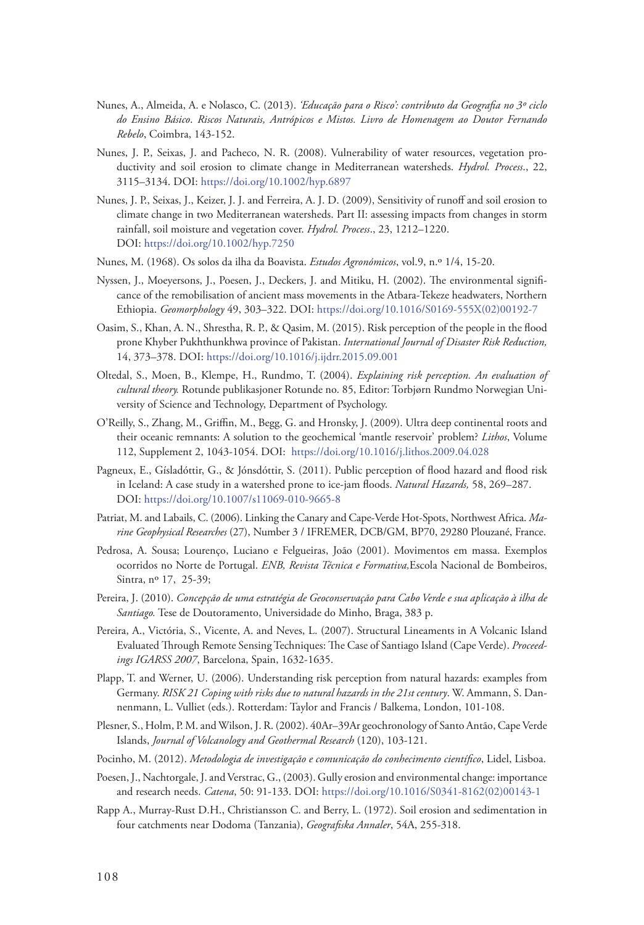- Nunes, A., Almeida, A. e Nolasco, C. (2013). *'Educação para o Risco': contributo da Geografia no 3º ciclo do Ensino Básico*. *Riscos Naturais, Antrópicos e Mistos. Livro de Homenagem ao Doutor Fernando Rebelo*, Coimbra, 143-152.
- Nunes, J. P., Seixas, J. and Pacheco, N. R. (2008). Vulnerability of water resources, vegetation productivity and soil erosion to climate change in Mediterranean watersheds. *Hydrol. Process*., 22, 3115–3134. DOI: https://doi.org/10.1002/hyp.6897
- Nunes, J. P., Seixas, J., Keizer, J. J. and Ferreira, A. J. D. (2009), Sensitivity of runoff and soil erosion to climate change in two Mediterranean watersheds. Part II: assessing impacts from changes in storm rainfall, soil moisture and vegetation cover. *Hydrol. Process*., 23, 1212–1220. DOI: https://doi.org/10.1002/hyp.7250
- Nunes, M. (1968). Os solos da ilha da Boavista. *Estudos Agronómicos*, vol.9, n.º 1/4, 15-20.
- Nyssen, J., Moeyersons, J., Poesen, J., Deckers, J. and Mitiku, H. (2002). The environmental significance of the remobilisation of ancient mass movements in the Atbara-Tekeze headwaters, Northern Ethiopia. *Geomorphology* 49, 303–322. DOI: [https://doi.org/10.1016/S0169-555X\(02\)00192-7](https://doi.org/10.1016/S0169-555X(02)00192-7)
- Oasim, S., Khan, A. N., Shrestha, R. P., & Qasim, M. (2015). Risk perception of the people in the flood prone Khyber Pukhthunkhwa province of Pakistan. *International Journal of Disaster Risk Reduction,* 14, 373–378. DOI: https://doi.org/10.1016/j.ijdrr.2015.09.001
- Oltedal, S., Moen, B., Klempe, H., Rundmo, T. (2004). *Explaining risk perception. An evaluation of cultural theory.* Rotunde publikasjoner Rotunde no. 85, Editor: Torbjørn Rundmo Norwegian University of Science and Technology, Department of Psychology.
- O'Reilly, S., Zhang, M., Griffin, M., Begg, G. and Hronsky, J. (2009). Ultra deep continental roots and their oceanic remnants: A solution to the geochemical 'mantle reservoir' problem? *Lithos*, Volume 112, Supplement 2, 1043-1054. DOI: https://doi.org/10.1016/j.lithos.2009.04.028
- Pagneux, E., Gísladóttir, G., & Jónsdóttir, S. (2011). Public perception of flood hazard and flood risk in Iceland: A case study in a watershed prone to ice‐jam floods. *Natural Hazards,* 58, 269–287. DOI: https://doi.org/10.1007/s11069‐010‐9665‐8
- Patriat, M. and Labails, C. (2006). Linking the Canary and Cape-Verde Hot-Spots, Northwest Africa. *Marine Geophysical Researches* (27), Number 3 / IFREMER, DCB/GM, BP70, 29280 Plouzané, France.
- Pedrosa, A. Sousa; Lourenço, Luciano e Felgueiras, João (2001). Movimentos em massa. Exemplos ocorridos no Norte de Portugal. *ENB, Revista Técnica e Formativa,*Escola Nacional de Bombeiros, Sintra, nº 17, 25-39;
- Pereira, J. (2010). *Concepção de uma estratégia de Geoconservação para Cabo Verde e sua aplicação à ilha de Santiago.* Tese de Doutoramento, Universidade do Minho, Braga, 383 p.
- Pereira, A., Victória, S., Vicente, A. and Neves, L. (2007). Structural Lineaments in A Volcanic Island Evaluated Through Remote Sensing Techniques: The Case of Santiago Island (Cape Verde). *Proceedings IGARSS 2007*, Barcelona, Spain, 1632-1635.
- Plapp, T. and Werner, U. (2006). Understanding risk perception from natural hazards: examples from Germany. *RISK 21 Coping with risks due to natural hazards in the 21st century*. W. Ammann, S. Dannenmann, L. Vulliet (eds.). Rotterdam: Taylor and Francis / Balkema, London, 101-108.
- Plesner, S., Holm, P. M. and Wilson, J. R. (2002). 40Ar–39Ar geochronology of Santo Antão, Cape Verde Islands, *Journal of Volcanology and Geothermal Research* (120), 103-121.
- Pocinho, M. (2012). *Metodologia de investigação e comunicação do conhecimento científico*, Lidel, Lisboa.
- Poesen, J., Nachtorgale, J. and Verstrac, G., (2003). Gully erosion and environmental change: importance and research needs. *Catena*, 50: 91-133. DOI: https://doi.org/10.1016/S0341-8162(02)00143-1
- Rapp A., Murray-Rust D.H., Christiansson C. and Berry, L. (1972). Soil erosion and sedimentation in four catchments near Dodoma (Tanzania), *Geografiska Annaler*, 54A, 255-318.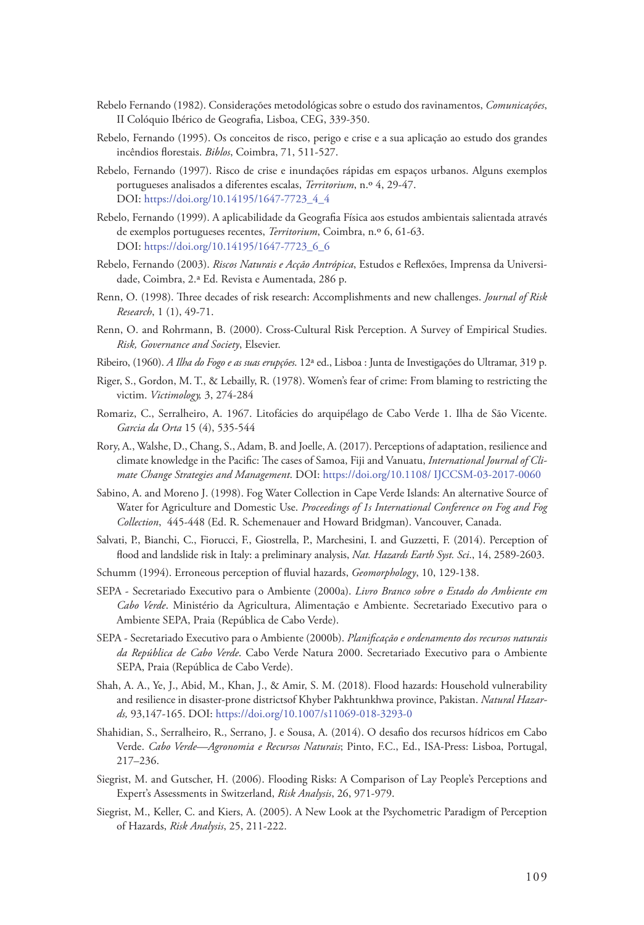- Rebelo Fernando (1982). Considerações metodológicas sobre o estudo dos ravinamentos, *Comunicações*, II Colóquio Ibérico de Geografia, Lisboa, CEG, 339-350.
- Rebelo, Fernando (1995). Os conceitos de risco, perigo e crise e a sua aplicação ao estudo dos grandes incêndios florestais. *Biblos*, Coimbra, 71, 511-527.
- Rebelo, Fernando (1997). Risco de crise e inundações rápidas em espaços urbanos. Alguns exemplos portugueses analisados a diferentes escalas, *Territorium*, n.º 4, 29-47. DOI: https://doi.org/10.14195/1647-7723\_4\_4
- Rebelo, Fernando (1999). A aplicabilidade da Geografia Física aos estudos ambientais salientada através de exemplos portugueses recentes, *Territorium*, Coimbra, n.º 6, 61-63. DOI: https://doi.org/10.14195/1647-7723\_6\_6
- Rebelo, Fernando (2003). *Riscos Naturais e Acção Antrópica*, Estudos e Reflexões, Imprensa da Universidade, Coimbra, 2.ª Ed. Revista e Aumentada, 286 p.
- Renn, O. (1998). Three decades of risk research: Accomplishments and new challenges. *Journal of Risk Research*, 1 (1), 49-71.
- Renn, O. and Rohrmann, B. (2000). Cross-Cultural Risk Perception. A Survey of Empirical Studies. *Risk, Governance and Society*, Elsevier.
- Ribeiro, (1960). *A Ilha do Fogo e as suas erupções*. 12ª ed., Lisboa : Junta de Investigações do Ultramar, 319 p.
- Riger, S., Gordon, M. T., & Lebailly, R. (1978). Women's fear of crime: From blaming to restricting the victim. *Victimology,* 3, 274-284
- Romariz, C., Serralheiro, A. 1967. Litofácies do arquipélago de Cabo Verde 1. Ilha de São Vicente. *Garcia da Orta* 15 (4), 535-544
- Rory, A., Walshe, D., Chang, S., Adam, B. and Joelle, A. (2017). Perceptions of adaptation, resilience and climate knowledge in the Pacific: The cases of Samoa, Fiji and Vanuatu, *International Journal of Climate Change Strategies and Management*. DOI: https://doi.org/10.1108/ IJCCSM-03-2017-0060
- Sabino, A. and Moreno J. (1998). Fog Water Collection in Cape Verde Islands: An alternative Source of Water for Agriculture and Domestic Use. *Proceedings of 1s International Conference on Fog and Fog Collection*, 445-448 (Ed. R. Schemenauer and Howard Bridgman). Vancouver, Canada.
- Salvati, P., Bianchi, C., Fiorucci, F., Giostrella, P., Marchesini, I. and Guzzetti, F. (2014). Perception of flood and landslide risk in Italy: a preliminary analysis, *Nat. Hazards Earth Syst. Sci*., 14, 2589-2603.
- Schumm (1994). Erroneous perception of fluvial hazards, *Geomorphology*, 10, 129-138.
- SEPA Secretariado Executivo para o Ambiente (2000a). *Livro Branco sobre o Estado do Ambiente em Cabo Verde*. Ministério da Agricultura, Alimentação e Ambiente. Secretariado Executivo para o Ambiente SEPA, Praia (República de Cabo Verde).
- SEPA Secretariado Executivo para o Ambiente (2000b). *Planificação e ordenamento dos recursos naturais da República de Cabo Verde*. Cabo Verde Natura 2000. Secretariado Executivo para o Ambiente SEPA, Praia (República de Cabo Verde).
- Shah, A. A., Ye, J., Abid, M., Khan, J., & Amir, S. M. (2018). Flood hazards: Household vulnerability and resilience in disaster‐prone districtsof Khyber Pakhtunkhwa province, Pakistan. *Natural Hazards,* 93,147-165. DOI: https://doi.org/10.1007/s11069‐018‐3293‐0
- Shahidian, S., Serralheiro, R., Serrano, J. e Sousa, A. (2014). O desafio dos recursos hídricos em Cabo Verde. *Cabo Verde—Agronomia e Recursos Naturais*; Pinto, F.C., Ed., ISA-Press: Lisboa, Portugal, 217–236.
- Siegrist, M. and Gutscher, H. (2006). Flooding Risks: A Comparison of Lay People's Perceptions and Expert's Assessments in Switzerland, *Risk Analysis*, 26, 971-979.
- Siegrist, M., Keller, C. and Kiers, A. (2005). A New Look at the Psychometric Paradigm of Perception of Hazards, *Risk Analysis*, 25, 211-222.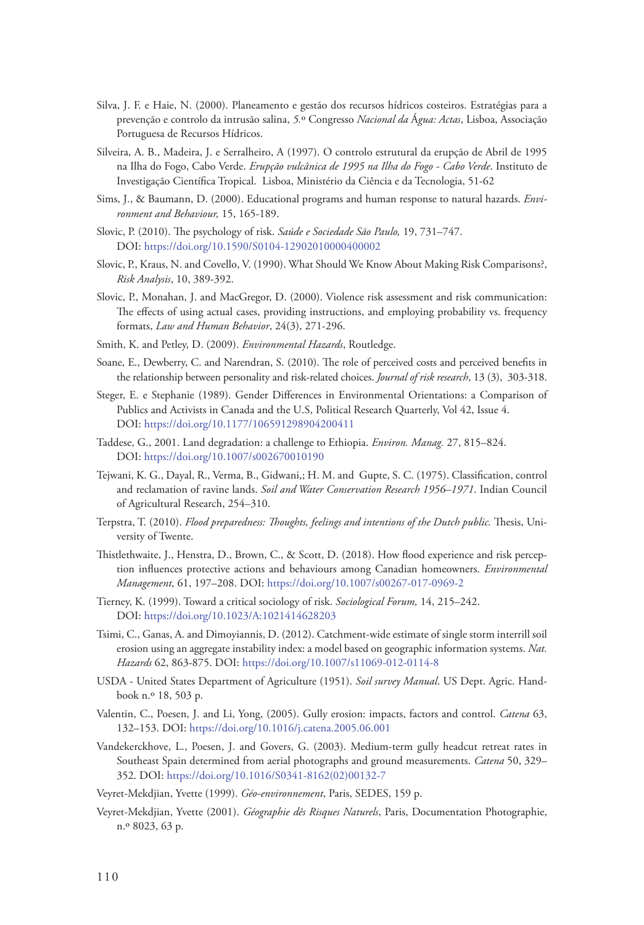- Silva, J. F. e Haie, N. (2000). Planeamento e gestão dos recursos hídricos costeiros. Estratégias para a prevenção e controlo da intrusão salina, *5.*º Congresso *Nacional da* Á*gua: Actas*, Lisboa, Associação Portuguesa de Recursos Hídricos.
- Silveira, A. B., Madeira, J. e Serralheiro, A (1997). [O controlo estrutural da erupção de Abril de 1995](http://memoria-africa.ua.pt/Catalog.aspx?q=TI%20o%20controlo%20estrutural%20da%20erupcao%20de%20abril%20de%201995%20na%20ilha%20do%20fogo,%20cabo%20verde)  [na Ilha do Fogo, Cabo Verde](http://memoria-africa.ua.pt/Catalog.aspx?q=TI%20o%20controlo%20estrutural%20da%20erupcao%20de%20abril%20de%201995%20na%20ilha%20do%20fogo,%20cabo%20verde). *Erupção vulcânica de 1995 na Ilha do Fogo - Cabo Verde*. Instituto de Investigação Científica Tropical. Lisboa, Ministério da Ciência e da Tecnologia, 51-62
- Sims, J., & Baumann, D. (2000). Educational programs and human response to natural hazards. *Environment and Behaviour,* 15, 165-189.
- Slovic, P. (2010). The psychology of risk. *Saúde e Sociedade São Paulo,* 19, 731–747. DOI: https://doi.org/10.1590/S0104‐12902010000400002
- Slovic, P., Kraus, N. and Covello, V. (1990). What Should We Know About Making Risk Comparisons?, *Risk Analysis*, 10, 389-392.
- Slovic, P., Monahan, J. and MacGregor, D. (2000). Violence risk assessment and risk communication: The effects of using actual cases, providing instructions, and employing probability vs. frequency formats, *Law and Human Behavior*, 24(3), 271-296.
- Smith, K. and Petley, D. (2009). *Environmental Hazards*, Routledge.
- Soane, E., Dewberry, C. and Narendran, S. (2010). The role of perceived costs and perceived benefits in the relationship between personality and risk-related choices. *Journal of risk research*, 13 (3), 303-318.
- Steger, E. e Stephanie (1989). Gender Differences in Environmental Orientations: a Comparison of Publics and Activists in Canada and the U.S, Political Research Quarterly, Vol 42, Issue 4. DOI: https://doi.org/10.1177/106591298904200411
- Taddese, G., 2001. Land degradation: a challenge to Ethiopia. *Environ. Manag.* 27, 815–824. DOI: https://doi.org/10.1007/s002670010190
- Tejwani, K. G., Dayal, R., Verma, B., Gidwani,; H. M. and Gupte, S. C. (1975). Classification, control and reclamation of ravine lands. *Soil and Water Conservation Research 1956–1971*. Indian Council of Agricultural Research, 254–310.
- Terpstra, T. (2010). *Flood preparedness: Thoughts, feelings and intentions of the Dutch public.* Thesis, University of Twente.
- Thistlethwaite, J., Henstra, D., Brown, C., & Scott, D. (2018). How flood experience and risk perception influences protective actions and behaviours among Canadian homeowners. *Environmental Management,* 61, 197–208. DOI: https://doi.org/10.1007/s00267‐017‐0969‐2
- Tierney, K. (1999). Toward a critical sociology of risk. *Sociological Forum,* 14, 215–242. DOI: https://doi.org/10.1023/A:1021414628203
- Tsimi, C., Ganas, A. and Dimoyiannis, D. (2012). Catchment-wide estimate of single storm interrill soil erosion using an aggregate instability index: a model based on geographic information systems. *Nat. Hazards* 62, 863-875. DOI: https://doi.org/10.1007/s11069-012-0114-8
- USDA United States Department of Agriculture (1951). *Soil survey Manual*. US Dept. Agric. Handbook n.º 18, 503 p.
- Valentin, C., Poesen, J. and Li, Yong, (2005). Gully erosion: impacts, factors and control. *Catena* 63, 132–153. DOI: https://doi.org/10.1016/j.catena.2005.06.001
- Vandekerckhove, L., Poesen, J. and Govers, G. (2003). Medium-term gully headcut retreat rates in Southeast Spain determined from aerial photographs and ground measurements. *Catena* 50, 329– 352. DOI: https://doi.org/10.1016/S0341-8162(02)00132-7

Veyret-Mekdjian, Yvette (1999). *Géo-environnement*, Paris, SEDES, 159 p.

Veyret-Mekdjian, Yvette (2001). *Géographie dês Risques Naturels*, Paris, Documentation Photographie, n.º 8023, 63 p.